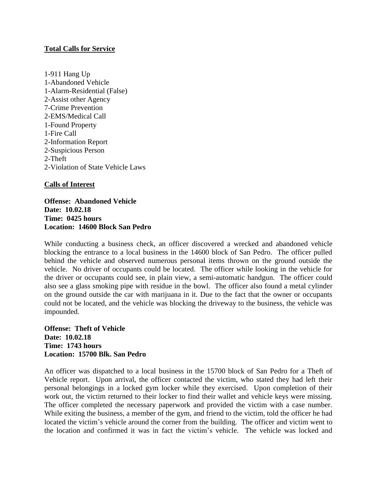## **Total Calls for Service**

1-911 Hang Up 1-Abandoned Vehicle 1-Alarm-Residential (False) 2-Assist other Agency 7-Crime Prevention 2-EMS/Medical Call 1-Found Property 1-Fire Call 2-Information Report 2-Suspicious Person 2-Theft 2-Violation of State Vehicle Laws

## **Calls of Interest**

**Offense: Abandoned Vehicle Date: 10.02.18 Time: 0425 hours Location: 14600 Block San Pedro**

While conducting a business check, an officer discovered a wrecked and abandoned vehicle blocking the entrance to a local business in the 14600 block of San Pedro. The officer pulled behind the vehicle and observed numerous personal items thrown on the ground outside the vehicle. No driver of occupants could be located. The officer while looking in the vehicle for the driver or occupants could see, in plain view, a semi-automatic handgun. The officer could also see a glass smoking pipe with residue in the bowl. The officer also found a metal cylinder on the ground outside the car with marijuana in it. Due to the fact that the owner or occupants could not be located, and the vehicle was blocking the driveway to the business, the vehicle was impounded.

**Offense: Theft of Vehicle Date: 10.02.18 Time: 1743 hours Location: 15700 Blk. San Pedro**

An officer was dispatched to a local business in the 15700 block of San Pedro for a Theft of Vehicle report. Upon arrival, the officer contacted the victim, who stated they had left their personal belongings in a locked gym locker while they exercised. Upon completion of their work out, the victim returned to their locker to find their wallet and vehicle keys were missing. The officer completed the necessary paperwork and provided the victim with a case number. While exiting the business, a member of the gym, and friend to the victim, told the officer he had located the victim's vehicle around the corner from the building. The officer and victim went to the location and confirmed it was in fact the victim's vehicle. The vehicle was locked and